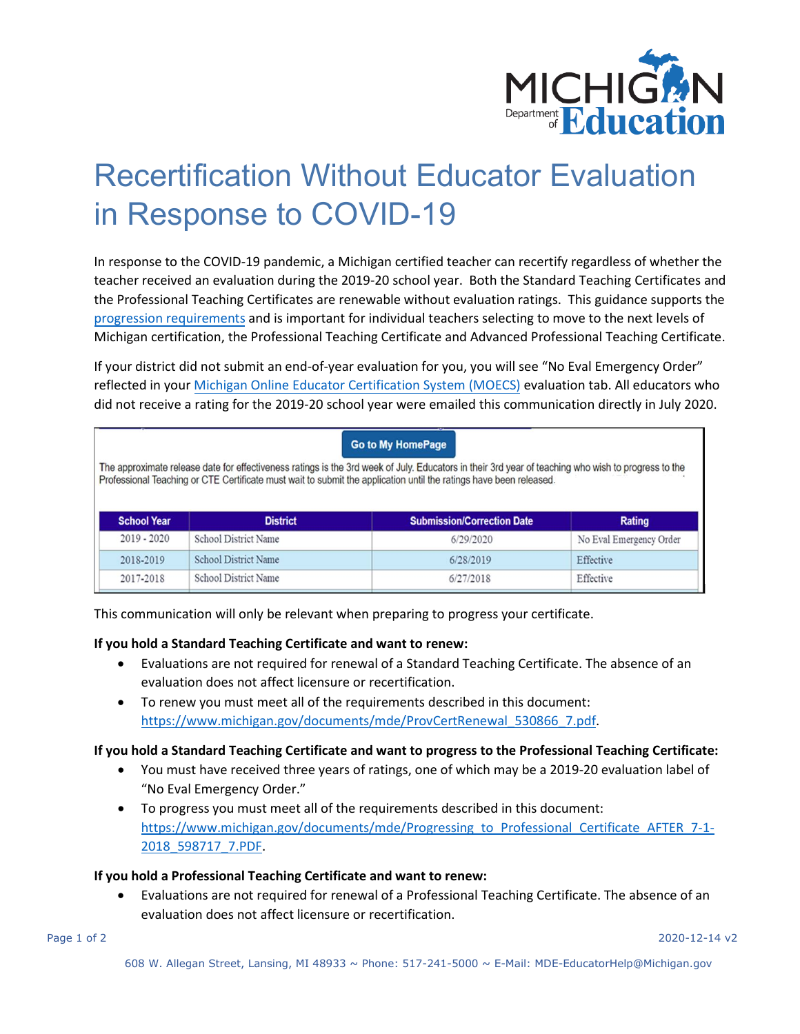

# Recertification Without Educator Evaluation in Response to COVID-19

In response to the COVID-19 pandemic, a Michigan certified teacher can recertify regardless of whether the teacher received an evaluation during the 2019-20 school year. Both the Standard Teaching Certificates and the Professional Teaching Certificates are renewable without evaluation ratings. This guidance supports the [progression requirements](https://www.michigan.gov/documents/mde/Progressing_to_Professional_Certificate_AFTER_7-1-2018_598717_7.PDF) and is important for individual teachers selecting to move to the next levels of Michigan certification, the Professional Teaching Certificate and Advanced Professional Teaching Certificate.

If your district did not submit an end-of-year evaluation for you, you will see "No Eval Emergency Order" reflected in your Michigan [Online Educator Certification System \(MOECS\)](http://www.michigan.gov/mde/0,4615,7-140-5683_57223---,00.html) evaluation tab. All educators who did not receive a rating for the 2019-20 school year were emailed this communication directly in July 2020.

| <b>Go to My HomePage</b><br>The approximate release date for effectiveness ratings is the 3rd week of July. Educators in their 3rd year of teaching who wish to progress to the<br>Professional Teaching or CTE Certificate must wait to submit the application until the ratings have been released. |                             |                                   |                         |
|-------------------------------------------------------------------------------------------------------------------------------------------------------------------------------------------------------------------------------------------------------------------------------------------------------|-----------------------------|-----------------------------------|-------------------------|
| <b>School Year</b>                                                                                                                                                                                                                                                                                    | <b>District</b>             | <b>Submission/Correction Date</b> | <b>Rating</b>           |
| $2019 - 2020$                                                                                                                                                                                                                                                                                         | <b>School District Name</b> | 6/29/2020                         | No Eval Emergency Order |
| 2018-2019                                                                                                                                                                                                                                                                                             | <b>School District Name</b> | 6/28/2019                         | Effective               |
| 2017-2018                                                                                                                                                                                                                                                                                             | <b>School District Name</b> | 6/27/2018                         | Effective               |

This communication will only be relevant when preparing to progress your certificate.

#### **If you hold a Standard Teaching Certificate and want to renew:**

- Evaluations are not required for renewal of a Standard Teaching Certificate. The absence of an evaluation does not affect licensure or recertification.
- To renew you must meet all of the requirements described in this document: [https://www.michigan.gov/documents/mde/ProvCertRenewal\\_530866\\_7.pdf.](https://www.michigan.gov/documents/mde/ProvCertRenewal_530866_7.pdf)

#### **If you hold a Standard Teaching Certificate and want to progress to the Professional Teaching Certificate:**

- You must have received three years of ratings, one of which may be a 2019-20 evaluation label of "No Eval Emergency Order."
- To progress you must meet all of the requirements described in this document: https://www.michigan.gov/documents/mde/Progressing to Professional Certificate AFTER 7-1-[2018\\_598717\\_7.PDF.](https://www.michigan.gov/documents/mde/Progressing_to_Professional_Certificate_AFTER_7-1-2018_598717_7.PDF)

#### **If you hold a Professional Teaching Certificate and want to renew:**

• Evaluations are not required for renewal of a Professional Teaching Certificate. The absence of an evaluation does not affect licensure or recertification.